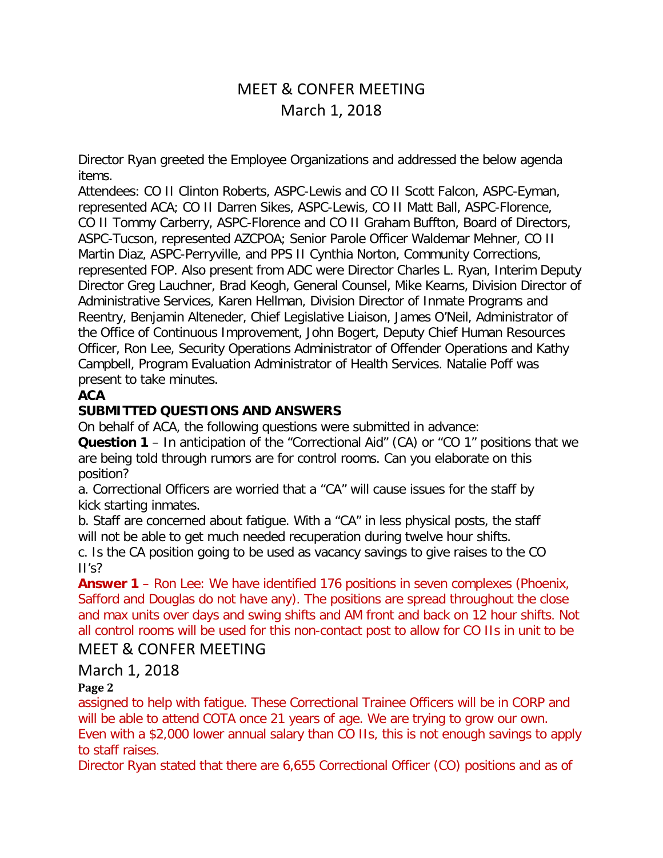# MEET & CONFER MEETING March 1, 2018

Director Ryan greeted the Employee Organizations and addressed the below agenda items.

Attendees: CO II Clinton Roberts, ASPC-Lewis and CO II Scott Falcon, ASPC-Eyman, represented ACA; CO II Darren Sikes, ASPC-Lewis, CO II Matt Ball, ASPC-Florence, CO II Tommy Carberry, ASPC-Florence and CO II Graham Buffton, Board of Directors, ASPC-Tucson, represented AZCPOA; Senior Parole Officer Waldemar Mehner, CO II Martin Diaz, ASPC-Perryville, and PPS II Cynthia Norton, Community Corrections, represented FOP. Also present from ADC were Director Charles L. Ryan, Interim Deputy Director Greg Lauchner, Brad Keogh, General Counsel, Mike Kearns, Division Director of Administrative Services, Karen Hellman, Division Director of Inmate Programs and Reentry, Benjamin Alteneder, Chief Legislative Liaison, James O'Neil, Administrator of the Office of Continuous Improvement, John Bogert, Deputy Chief Human Resources Officer, Ron Lee, Security Operations Administrator of Offender Operations and Kathy Campbell, Program Evaluation Administrator of Health Services. Natalie Poff was present to take minutes.

### **ACA**

### **SUBMITTED QUESTIONS AND ANSWERS**

On behalf of ACA, the following questions were submitted in advance:

**Question 1** – In anticipation of the "Correctional Aid" (CA) or "CO 1" positions that we are being told through rumors are for control rooms. Can you elaborate on this position?

a. Correctional Officers are worried that a "CA" will cause issues for the staff by kick starting inmates.

b. Staff are concerned about fatigue. With a "CA" in less physical posts, the staff will not be able to get much needed recuperation during twelve hour shifts.

c. Is the CA position going to be used as vacancy savings to give raises to the CO  $II's?$ 

**Answer 1** – Ron Lee: We have identified 176 positions in seven complexes (Phoenix, Safford and Douglas do not have any). The positions are spread throughout the close and max units over days and swing shifts and AM front and back on 12 hour shifts. Not all control rooms will be used for this non-contact post to allow for CO IIs in unit to be

# MEET & CONFER MEETING

# March 1, 2018

#### **Page 2**

assigned to help with fatigue. These Correctional Trainee Officers will be in CORP and will be able to attend COTA once 21 years of age. We are trying to grow our own. Even with a \$2,000 lower annual salary than CO IIs, this is not enough savings to apply to staff raises.

Director Ryan stated that there are 6,655 Correctional Officer (CO) positions and as of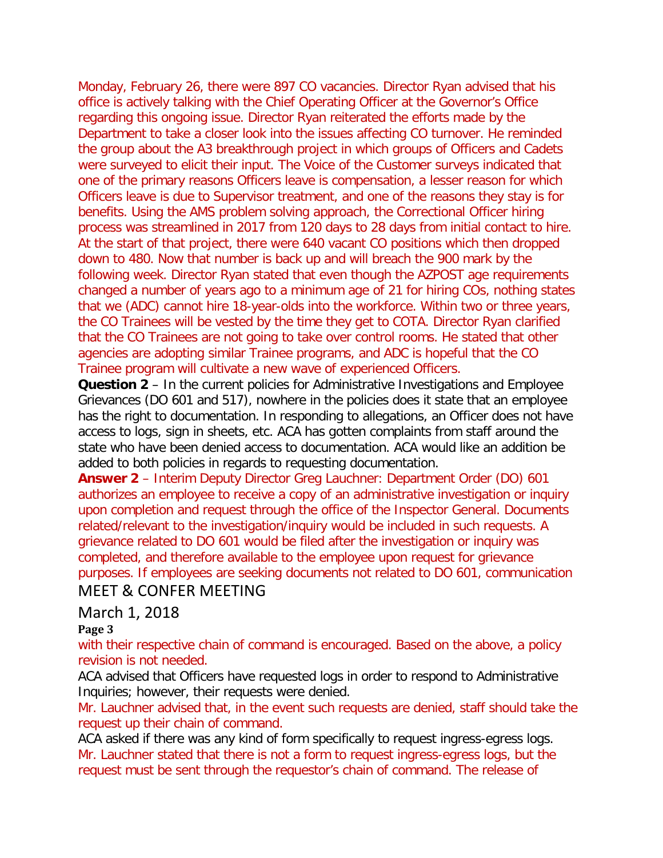Monday, February 26, there were 897 CO vacancies. Director Ryan advised that his office is actively talking with the Chief Operating Officer at the Governor's Office regarding this ongoing issue. Director Ryan reiterated the efforts made by the Department to take a closer look into the issues affecting CO turnover. He reminded the group about the A3 breakthrough project in which groups of Officers and Cadets were surveyed to elicit their input. The Voice of the Customer surveys indicated that one of the primary reasons Officers leave is compensation, a lesser reason for which Officers leave is due to Supervisor treatment, and one of the reasons they stay is for benefits. Using the AMS problem solving approach, the Correctional Officer hiring process was streamlined in 2017 from 120 days to 28 days from initial contact to hire. At the start of that project, there were 640 vacant CO positions which then dropped down to 480. Now that number is back up and will breach the 900 mark by the following week. Director Ryan stated that even though the AZPOST age requirements changed a number of years ago to a minimum age of 21 for hiring COs, nothing states that we (ADC) cannot hire 18-year-olds into the workforce. Within two or three years, the CO Trainees will be vested by the time they get to COTA. Director Ryan clarified that the CO Trainees are not going to take over control rooms. He stated that other agencies are adopting similar Trainee programs, and ADC is hopeful that the CO Trainee program will cultivate a new wave of experienced Officers.

**Question 2** – In the current policies for Administrative Investigations and Employee Grievances (DO 601 and 517), nowhere in the policies does it state that an employee has the right to documentation. In responding to allegations, an Officer does not have access to logs, sign in sheets, etc. ACA has gotten complaints from staff around the state who have been denied access to documentation. ACA would like an addition be added to both policies in regards to requesting documentation.

**Answer 2** – Interim Deputy Director Greg Lauchner: Department Order (DO) 601 authorizes an employee to receive a copy of an administrative investigation or inquiry upon completion and request through the office of the Inspector General. Documents related/relevant to the investigation/inquiry would be included in such requests. A grievance related to DO 601 would be filed after the investigation or inquiry was completed, and therefore available to the employee upon request for grievance purposes. If employees are seeking documents not related to DO 601, communication MEET & CONFER MEETING

# March 1, 2018

#### **Page 3**

with their respective chain of command is encouraged. Based on the above, a policy revision is not needed.

ACA advised that Officers have requested logs in order to respond to Administrative Inquiries; however, their requests were denied.

Mr. Lauchner advised that, in the event such requests are denied, staff should take the request up their chain of command.

ACA asked if there was any kind of form specifically to request ingress-egress logs. Mr. Lauchner stated that there is not a form to request ingress-egress logs, but the request must be sent through the requestor's chain of command. The release of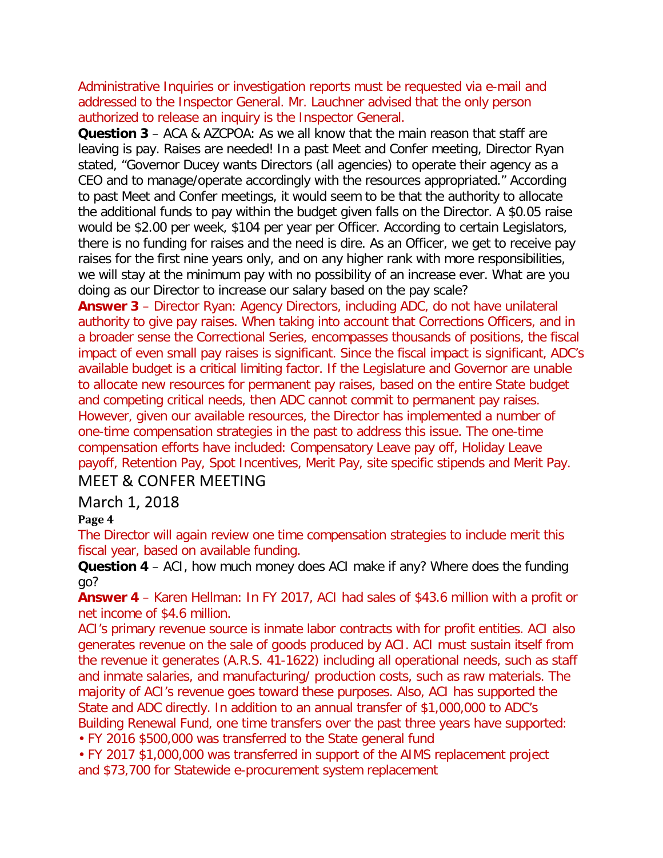Administrative Inquiries or investigation reports must be requested via e-mail and addressed to the Inspector General. Mr. Lauchner advised that the only person authorized to release an inquiry is the Inspector General.

**Question 3** – ACA & AZCPOA: As we all know that the main reason that staff are leaving is pay. Raises are needed! In a past Meet and Confer meeting, Director Ryan stated, "Governor Ducey wants Directors (all agencies) to operate their agency as a CEO and to manage/operate accordingly with the resources appropriated." According to past Meet and Confer meetings, it would seem to be that the authority to allocate the additional funds to pay within the budget given falls on the Director. A \$0.05 raise would be \$2.00 per week, \$104 per year per Officer. According to certain Legislators, there is no funding for raises and the need is dire. As an Officer, we get to receive pay raises for the first nine years only, and on any higher rank with more responsibilities, we will stay at the minimum pay with no possibility of an increase ever. What are you doing as our Director to increase our salary based on the pay scale?

**Answer 3** – Director Ryan: Agency Directors, including ADC, do not have unilateral authority to give pay raises. When taking into account that Corrections Officers, and in a broader sense the Correctional Series, encompasses thousands of positions, the fiscal impact of even small pay raises is significant. Since the fiscal impact is significant, ADC's available budget is a critical limiting factor. If the Legislature and Governor are unable to allocate new resources for permanent pay raises, based on the entire State budget and competing critical needs, then ADC cannot commit to permanent pay raises. However, given our available resources, the Director has implemented a number of one-time compensation strategies in the past to address this issue. The one-time compensation efforts have included: Compensatory Leave pay off, Holiday Leave payoff, Retention Pay, Spot Incentives, Merit Pay, site specific stipends and Merit Pay.

# MEET & CONFER MEETING

# March 1, 2018

#### **Page 4**

The Director will again review one time compensation strategies to include merit this fiscal year, based on available funding.

**Question 4** – ACI, how much money does ACI make if any? Where does the funding go?

**Answer 4** – Karen Hellman: In FY 2017, ACI had sales of \$43.6 million with a profit or net income of \$4.6 million.

ACI's primary revenue source is inmate labor contracts with for profit entities. ACI also generates revenue on the sale of goods produced by ACI. ACI must sustain itself from the revenue it generates (A.R.S. 41-1622) including all operational needs, such as staff and inmate salaries, and manufacturing/ production costs, such as raw materials. The majority of ACI's revenue goes toward these purposes. Also, ACI has supported the State and ADC directly. In addition to an annual transfer of \$1,000,000 to ADC's Building Renewal Fund, one time transfers over the past three years have supported:

• FY 2016 \$500,000 was transferred to the State general fund

• FY 2017 \$1,000,000 was transferred in support of the AIMS replacement project and \$73,700 for Statewide e-procurement system replacement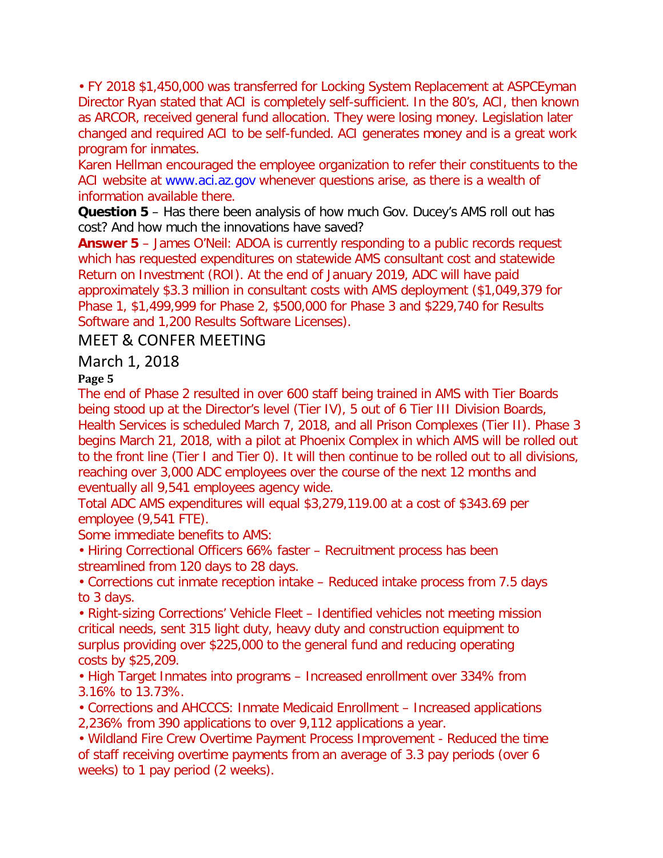• FY 2018 \$1,450,000 was transferred for Locking System Replacement at ASPCEyman Director Ryan stated that ACI is completely self-sufficient. In the 80's, ACI, then known as ARCOR, received general fund allocation. They were losing money. Legislation later changed and required ACI to be self-funded. ACI generates money and is a great work program for inmates.

Karen Hellman encouraged the employee organization to refer their constituents to the ACI website at www.aci.az.gov whenever questions arise, as there is a wealth of information available there.

**Question 5** – Has there been analysis of how much Gov. Ducey's AMS roll out has cost? And how much the innovations have saved?

**Answer 5** – James O'Neil: ADOA is currently responding to a public records request which has requested expenditures on statewide AMS consultant cost and statewide Return on Investment (ROI). At the end of January 2019, ADC will have paid approximately \$3.3 million in consultant costs with AMS deployment (\$1,049,379 for Phase 1, \$1,499,999 for Phase 2, \$500,000 for Phase 3 and \$229,740 for Results Software and 1,200 Results Software Licenses).

# MEET & CONFER MEETING

# March 1, 2018

# **Page 5**

The end of Phase 2 resulted in over 600 staff being trained in AMS with Tier Boards being stood up at the Director's level (Tier IV), 5 out of 6 Tier III Division Boards, Health Services is scheduled March 7, 2018, and all Prison Complexes (Tier II). Phase 3 begins March 21, 2018, with a pilot at Phoenix Complex in which AMS will be rolled out to the front line (Tier I and Tier 0). It will then continue to be rolled out to all divisions, reaching over 3,000 ADC employees over the course of the next 12 months and eventually all 9,541 employees agency wide.

Total ADC AMS expenditures will equal \$3,279,119.00 at a cost of \$343.69 per employee (9,541 FTE).

Some immediate benefits to AMS:

• Hiring Correctional Officers 66% faster – Recruitment process has been streamlined from 120 days to 28 days.

• Corrections cut inmate reception intake – Reduced intake process from 7.5 days to 3 days.

• Right-sizing Corrections' Vehicle Fleet – Identified vehicles not meeting mission critical needs, sent 315 light duty, heavy duty and construction equipment to surplus providing over \$225,000 to the general fund and reducing operating costs by \$25,209.

• High Target Inmates into programs – Increased enrollment over 334% from 3.16% to 13.73%.

• Corrections and AHCCCS: Inmate Medicaid Enrollment – Increased applications 2,236% from 390 applications to over 9,112 applications a year.

• Wildland Fire Crew Overtime Payment Process Improvement - Reduced the time of staff receiving overtime payments from an average of 3.3 pay periods (over 6 weeks) to 1 pay period (2 weeks).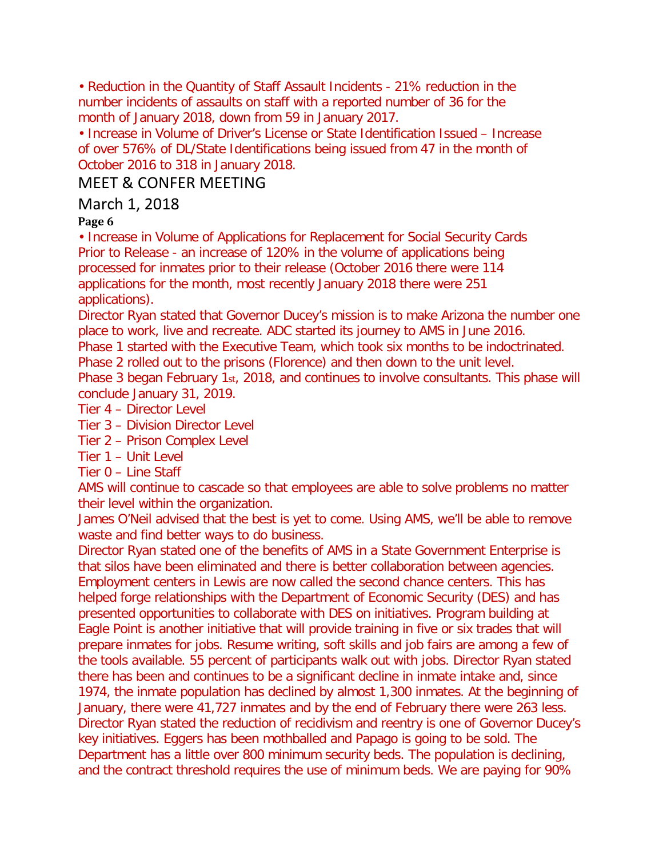• Reduction in the Quantity of Staff Assault Incidents - 21% reduction in the number incidents of assaults on staff with a reported number of 36 for the month of January 2018, down from 59 in January 2017.

• Increase in Volume of Driver's License or State Identification Issued – Increase of over 576% of DL/State Identifications being issued from 47 in the month of October 2016 to 318 in January 2018.

# MEET & CONFER MEETING

# March 1, 2018

#### **Page 6**

• Increase in Volume of Applications for Replacement for Social Security Cards Prior to Release - an increase of 120% in the volume of applications being processed for inmates prior to their release (October 2016 there were 114 applications for the month, most recently January 2018 there were 251 applications).

Director Ryan stated that Governor Ducey's mission is to make Arizona the number one place to work, live and recreate. ADC started its journey to AMS in June 2016.

Phase 1 started with the Executive Team, which took six months to be indoctrinated.

Phase 2 rolled out to the prisons (Florence) and then down to the unit level.

Phase 3 began February 1st, 2018, and continues to involve consultants. This phase will conclude January 31, 2019.

Tier 4 – Director Level

Tier 3 – Division Director Level

Tier 2 – Prison Complex Level

Tier 1 – Unit Level

Tier 0 – Line Staff

AMS will continue to cascade so that employees are able to solve problems no matter their level within the organization.

James O'Neil advised that the best is yet to come. Using AMS, we'll be able to remove waste and find better ways to do business.

Director Ryan stated one of the benefits of AMS in a State Government Enterprise is that silos have been eliminated and there is better collaboration between agencies. Employment centers in Lewis are now called the second chance centers. This has helped forge relationships with the Department of Economic Security (DES) and has presented opportunities to collaborate with DES on initiatives. Program building at Eagle Point is another initiative that will provide training in five or six trades that will prepare inmates for jobs. Resume writing, soft skills and job fairs are among a few of the tools available. 55 percent of participants walk out with jobs. Director Ryan stated there has been and continues to be a significant decline in inmate intake and, since 1974, the inmate population has declined by almost 1,300 inmates. At the beginning of January, there were 41,727 inmates and by the end of February there were 263 less. Director Ryan stated the reduction of recidivism and reentry is one of Governor Ducey's key initiatives. Eggers has been mothballed and Papago is going to be sold. The Department has a little over 800 minimum security beds. The population is declining, and the contract threshold requires the use of minimum beds. We are paying for 90%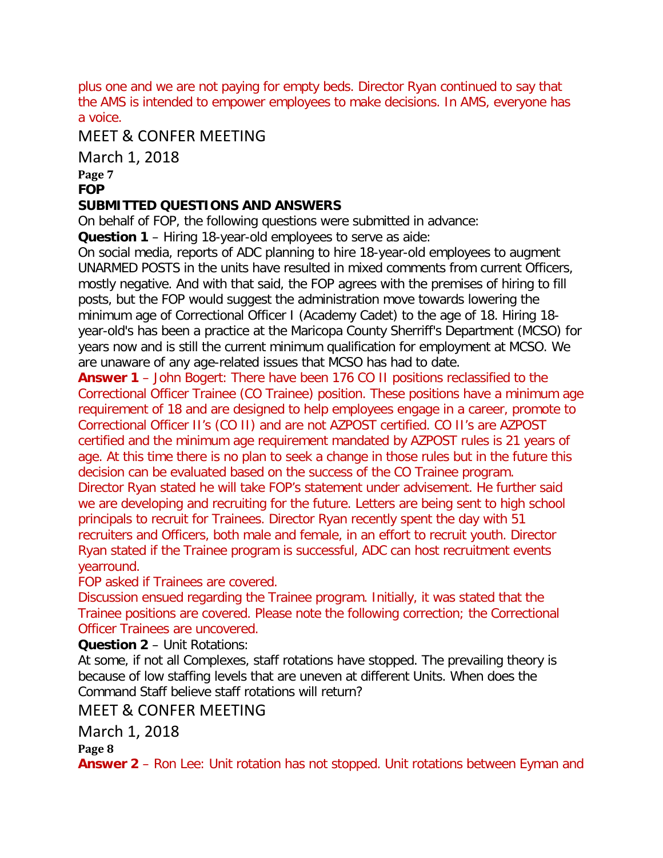plus one and we are not paying for empty beds. Director Ryan continued to say that the AMS is intended to empower employees to make decisions. In AMS, everyone has a voice.

# MEET & CONFER MEETING

March 1, 2018

**Page 7**

#### **FOP**

### **SUBMITTED QUESTIONS AND ANSWERS**

On behalf of FOP, the following questions were submitted in advance:

**Question 1** – Hiring 18-year-old employees to serve as aide:

On social media, reports of ADC planning to hire 18-year-old employees to augment UNARMED POSTS in the units have resulted in mixed comments from current Officers, mostly negative. And with that said, the FOP agrees with the premises of hiring to fill posts, but the FOP would suggest the administration move towards lowering the minimum age of Correctional Officer I (Academy Cadet) to the age of 18. Hiring 18 year-old's has been a practice at the Maricopa County Sherriff's Department (MCSO) for years now and is still the current minimum qualification for employment at MCSO. We are unaware of any age-related issues that MCSO has had to date.

**Answer 1** – John Bogert: There have been 176 CO II positions reclassified to the Correctional Officer Trainee (CO Trainee) position. These positions have a minimum age requirement of 18 and are designed to help employees engage in a career, promote to Correctional Officer II's (CO II) and are not AZPOST certified. CO II's are AZPOST certified and the minimum age requirement mandated by AZPOST rules is 21 years of age. At this time there is no plan to seek a change in those rules but in the future this decision can be evaluated based on the success of the CO Trainee program. Director Ryan stated he will take FOP's statement under advisement. He further said we are developing and recruiting for the future. Letters are being sent to high school principals to recruit for Trainees. Director Ryan recently spent the day with 51 recruiters and Officers, both male and female, in an effort to recruit youth. Director Ryan stated if the Trainee program is successful, ADC can host recruitment events yearround.

#### FOP asked if Trainees are covered.

Discussion ensued regarding the Trainee program. Initially, it was stated that the Trainee positions are covered. Please note the following correction; the Correctional Officer Trainees are uncovered.

# **Question 2** – Unit Rotations:

At some, if not all Complexes, staff rotations have stopped. The prevailing theory is because of low staffing levels that are uneven at different Units. When does the Command Staff believe staff rotations will return?

# MEET & CONFER MEETING

# March 1, 2018

**Page 8**

**Answer 2** – Ron Lee: Unit rotation has not stopped. Unit rotations between Eyman and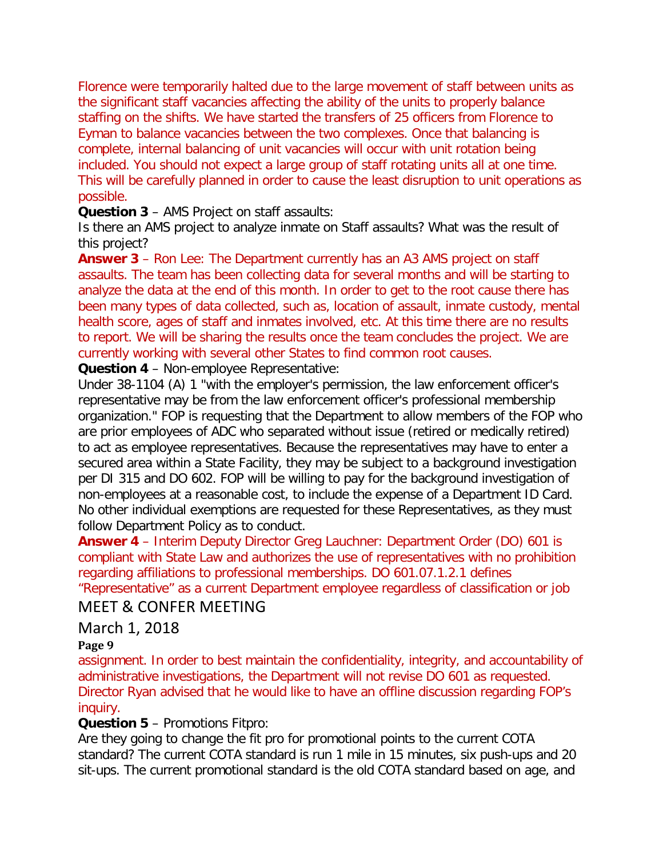Florence were temporarily halted due to the large movement of staff between units as the significant staff vacancies affecting the ability of the units to properly balance staffing on the shifts. We have started the transfers of 25 officers from Florence to Eyman to balance vacancies between the two complexes. Once that balancing is complete, internal balancing of unit vacancies will occur with unit rotation being included. You should not expect a large group of staff rotating units all at one time. This will be carefully planned in order to cause the least disruption to unit operations as possible.

#### **Question 3** – AMS Project on staff assaults:

Is there an AMS project to analyze inmate on Staff assaults? What was the result of this project?

**Answer 3** – Ron Lee: The Department currently has an A3 AMS project on staff assaults. The team has been collecting data for several months and will be starting to analyze the data at the end of this month. In order to get to the root cause there has been many types of data collected, such as, location of assault, inmate custody, mental health score, ages of staff and inmates involved, etc. At this time there are no results to report. We will be sharing the results once the team concludes the project. We are currently working with several other States to find common root causes.

#### **Question 4** – Non-employee Representative:

Under 38-1104 (A) 1 "with the employer's permission, the law enforcement officer's representative may be from the law enforcement officer's professional membership organization." FOP is requesting that the Department to allow members of the FOP who are prior employees of ADC who separated without issue (retired or medically retired) to act as employee representatives. Because the representatives may have to enter a secured area within a State Facility, they may be subject to a background investigation per DI 315 and DO 602. FOP will be willing to pay for the background investigation of non-employees at a reasonable cost, to include the expense of a Department ID Card. No other individual exemptions are requested for these Representatives, as they must follow Department Policy as to conduct.

**Answer 4** – Interim Deputy Director Greg Lauchner: Department Order (DO) 601 is compliant with State Law and authorizes the use of representatives with no prohibition regarding affiliations to professional memberships. DO 601.07.1.2.1 defines "Representative" as a current Department employee regardless of classification or job

# MEET & CONFER MEETING

#### March 1, 2018

#### **Page 9**

assignment. In order to best maintain the confidentiality, integrity, and accountability of administrative investigations, the Department will not revise DO 601 as requested. Director Ryan advised that he would like to have an offline discussion regarding FOP's inquiry.

#### **Question 5** – Promotions Fitpro:

Are they going to change the fit pro for promotional points to the current COTA standard? The current COTA standard is run 1 mile in 15 minutes, six push-ups and 20 sit-ups. The current promotional standard is the old COTA standard based on age, and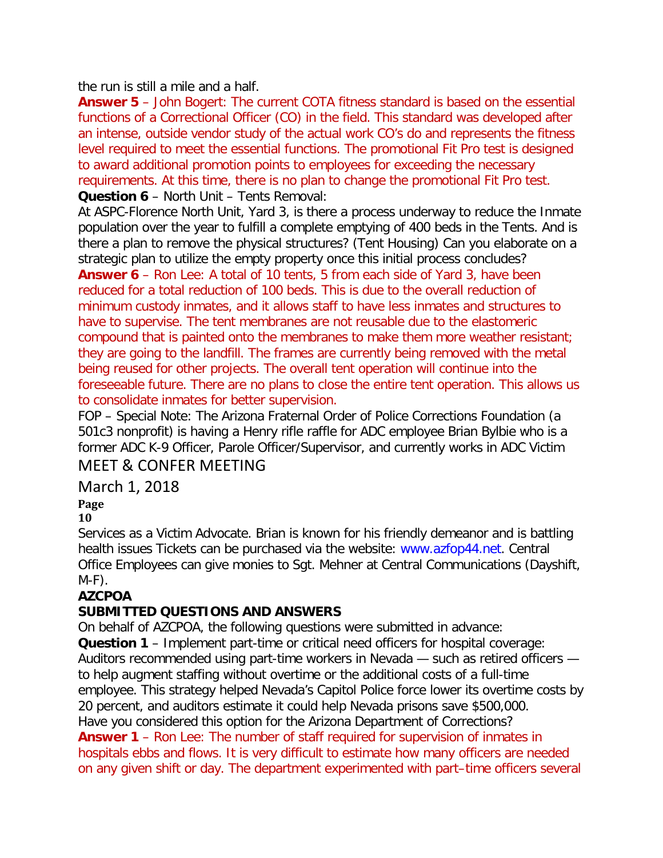the run is still a mile and a half.

**Answer 5** – John Bogert: The current COTA fitness standard is based on the essential functions of a Correctional Officer (CO) in the field. This standard was developed after an intense, outside vendor study of the actual work CO's do and represents the fitness level required to meet the essential functions. The promotional Fit Pro test is designed to award additional promotion points to employees for exceeding the necessary requirements. At this time, there is no plan to change the promotional Fit Pro test. **Question 6** – North Unit – Tents Removal:

At ASPC-Florence North Unit, Yard 3, is there a process underway to reduce the Inmate population over the year to fulfill a complete emptying of 400 beds in the Tents. And is there a plan to remove the physical structures? (Tent Housing) Can you elaborate on a strategic plan to utilize the empty property once this initial process concludes?

**Answer 6** – Ron Lee: A total of 10 tents, 5 from each side of Yard 3, have been reduced for a total reduction of 100 beds. This is due to the overall reduction of minimum custody inmates, and it allows staff to have less inmates and structures to have to supervise. The tent membranes are not reusable due to the elastomeric compound that is painted onto the membranes to make them more weather resistant; they are going to the landfill. The frames are currently being removed with the metal being reused for other projects. The overall tent operation will continue into the foreseeable future. There are no plans to close the entire tent operation. This allows us to consolidate inmates for better supervision.

FOP – Special Note: The Arizona Fraternal Order of Police Corrections Foundation (a 501c3 nonprofit) is having a Henry rifle raffle for ADC employee Brian Bylbie who is a former ADC K-9 Officer, Parole Officer/Supervisor, and currently works in ADC Victim

# MEET & CONFER MEETING

# March 1, 2018

# **Page**

# **10**

Services as a Victim Advocate. Brian is known for his friendly demeanor and is battling health issues Tickets can be purchased via the website: www.azfop44.net. Central Office Employees can give monies to Sgt. Mehner at Central Communications (Dayshift,  $M-F$ ).

# **AZCPOA**

# **SUBMITTED QUESTIONS AND ANSWERS**

On behalf of AZCPOA, the following questions were submitted in advance: **Question 1** – Implement part-time or critical need officers for hospital coverage: Auditors recommended using part-time workers in Nevada — such as retired officers to help augment staffing without overtime or the additional costs of a full-time employee. This strategy helped Nevada's Capitol Police force lower its overtime costs by 20 percent, and auditors estimate it could help Nevada prisons save \$500,000. Have you considered this option for the Arizona Department of Corrections? **Answer 1** – Ron Lee: The number of staff required for supervision of inmates in hospitals ebbs and flows. It is very difficult to estimate how many officers are needed on any given shift or day. The department experimented with part–time officers several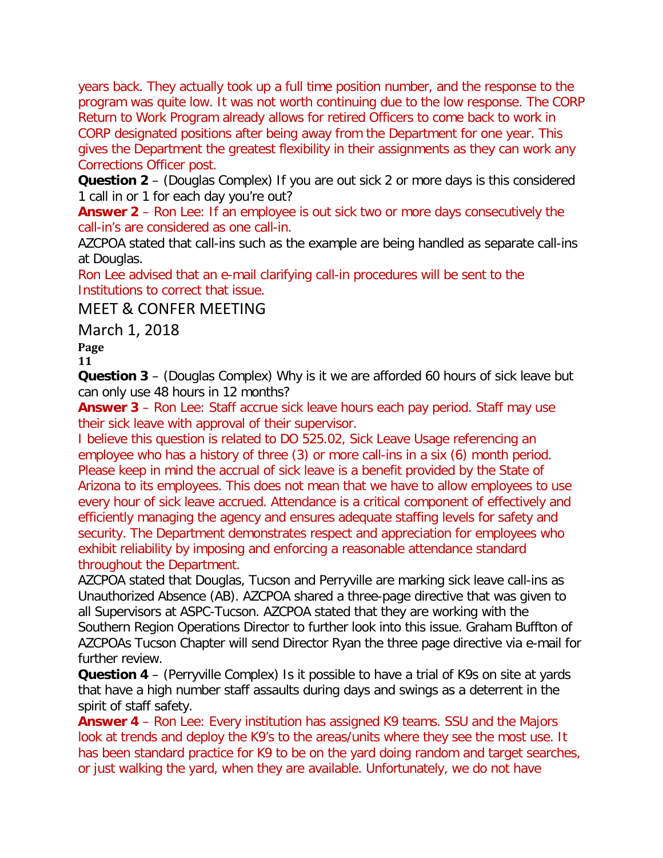years back. They actually took up a full time position number, and the response to the program was quite low. It was not worth continuing due to the low response. The CORP Return to Work Program already allows for retired Officers to come back to work in CORP designated positions after being away from the Department for one year. This gives the Department the greatest flexibility in their assignments as they can work any Corrections Officer post.

**Question 2** – (Douglas Complex) If you are out sick 2 or more days is this considered 1 call in or 1 for each day you're out?

**Answer 2** – Ron Lee: If an employee is out sick two or more days consecutively the call-in's are considered as one call-in.

AZCPOA stated that call-ins such as the example are being handled as separate call-ins at Douglas.

Ron Lee advised that an e-mail clarifying call-in procedures will be sent to the Institutions to correct that issue.

MEET & CONFER MEETING

March 1, 2018

**Page**

**11**

**Question 3** – (Douglas Complex) Why is it we are afforded 60 hours of sick leave but can only use 48 hours in 12 months?

**Answer 3** – Ron Lee: Staff accrue sick leave hours each pay period. Staff may use their sick leave with approval of their supervisor.

I believe this question is related to DO 525.02, Sick Leave Usage referencing an employee who has a history of three (3) or more call-ins in a six (6) month period. Please keep in mind the accrual of sick leave is a benefit provided by the State of Arizona to its employees. This does not mean that we have to allow employees to use every hour of sick leave accrued. Attendance is a critical component of effectively and efficiently managing the agency and ensures adequate staffing levels for safety and security. The Department demonstrates respect and appreciation for employees who exhibit reliability by imposing and enforcing a reasonable attendance standard throughout the Department.

AZCPOA stated that Douglas, Tucson and Perryville are marking sick leave call-ins as Unauthorized Absence (AB). AZCPOA shared a three-page directive that was given to all Supervisors at ASPC-Tucson. AZCPOA stated that they are working with the Southern Region Operations Director to further look into this issue. Graham Buffton of AZCPOAs Tucson Chapter will send Director Ryan the three page directive via e-mail for further review.

**Question 4** – (Perryville Complex) Is it possible to have a trial of K9s on site at yards that have a high number staff assaults during days and swings as a deterrent in the spirit of staff safety.

**Answer 4** – Ron Lee: Every institution has assigned K9 teams. SSU and the Majors look at trends and deploy the K9's to the areas/units where they see the most use. It has been standard practice for K9 to be on the yard doing random and target searches, or just walking the yard, when they are available. Unfortunately, we do not have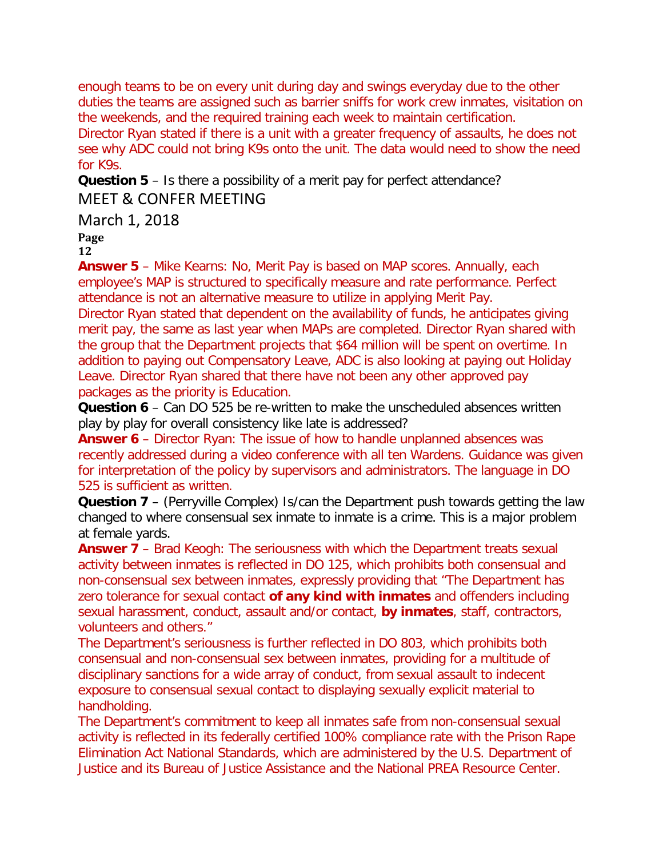enough teams to be on every unit during day and swings everyday due to the other duties the teams are assigned such as barrier sniffs for work crew inmates, visitation on the weekends, and the required training each week to maintain certification.

Director Ryan stated if there is a unit with a greater frequency of assaults, he does not see why ADC could not bring K9s onto the unit. The data would need to show the need for K9s.

**Question 5** – Is there a possibility of a merit pay for perfect attendance?

# MEET & CONFER MEETING

March 1, 2018

# **Page**

**12**

**Answer 5** – Mike Kearns: No, Merit Pay is based on MAP scores. Annually, each employee's MAP is structured to specifically measure and rate performance. Perfect attendance is not an alternative measure to utilize in applying Merit Pay.

Director Ryan stated that dependent on the availability of funds, he anticipates giving merit pay, the same as last year when MAPs are completed. Director Ryan shared with the group that the Department projects that \$64 million will be spent on overtime. In addition to paying out Compensatory Leave, ADC is also looking at paying out Holiday Leave. Director Ryan shared that there have not been any other approved pay packages as the priority is Education.

**Question 6** – Can DO 525 be re-written to make the unscheduled absences written play by play for overall consistency like late is addressed?

**Answer 6** – Director Ryan: The issue of how to handle unplanned absences was recently addressed during a video conference with all ten Wardens. Guidance was given for interpretation of the policy by supervisors and administrators. The language in DO 525 is sufficient as written.

**Question 7** – (Perryville Complex) Is/can the Department push towards getting the law changed to where consensual sex inmate to inmate is a crime. This is a major problem at female yards.

**Answer 7** – Brad Keogh: The seriousness with which the Department treats sexual activity between inmates is reflected in DO 125, which prohibits both consensual and non-consensual sex between inmates, expressly providing that "The Department has zero tolerance for sexual contact **of any kind with inmates** and offenders including sexual harassment, conduct, assault and/or contact, **by inmates**, staff, contractors, volunteers and others."

The Department's seriousness is further reflected in DO 803, which prohibits both consensual and non-consensual sex between inmates, providing for a multitude of disciplinary sanctions for a wide array of conduct, from sexual assault to indecent exposure to consensual sexual contact to displaying sexually explicit material to handholding.

The Department's commitment to keep all inmates safe from non-consensual sexual activity is reflected in its federally certified 100% compliance rate with the Prison Rape Elimination Act National Standards, which are administered by the U.S. Department of Justice and its Bureau of Justice Assistance and the National PREA Resource Center.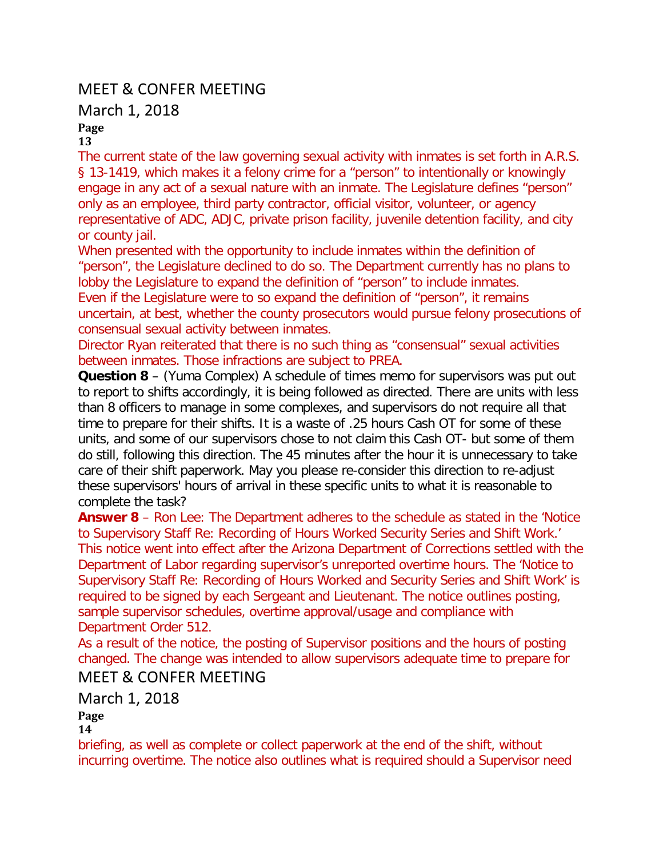# MEET & CONFER MEETING

### March 1, 2018

# **Page**

**13**

The current state of the law governing sexual activity with inmates is set forth in A.R.S. § 13-1419, which makes it a felony crime for a "person" to intentionally or knowingly engage in any act of a sexual nature with an inmate. The Legislature defines "person" only as an employee, third party contractor, official visitor, volunteer, or agency representative of ADC, ADJC, private prison facility, juvenile detention facility, and city or county jail.

When presented with the opportunity to include inmates within the definition of "person", the Legislature declined to do so. The Department currently has no plans to lobby the Legislature to expand the definition of "person" to include inmates. Even if the Legislature were to so expand the definition of "person", it remains uncertain, at best, whether the county prosecutors would pursue felony prosecutions of consensual sexual activity between inmates.

Director Ryan reiterated that there is no such thing as "consensual" sexual activities between inmates. Those infractions are subject to PREA.

**Question 8** – (Yuma Complex) A schedule of times memo for supervisors was put out to report to shifts accordingly, it is being followed as directed. There are units with less than 8 officers to manage in some complexes, and supervisors do not require all that time to prepare for their shifts. It is a waste of .25 hours Cash OT for some of these units, and some of our supervisors chose to not claim this Cash OT- but some of them do still, following this direction. The 45 minutes after the hour it is unnecessary to take care of their shift paperwork. May you please re-consider this direction to re-adjust these supervisors' hours of arrival in these specific units to what it is reasonable to complete the task?

**Answer 8** – Ron Lee: The Department adheres to the schedule as stated in the 'Notice to Supervisory Staff Re: Recording of Hours Worked Security Series and Shift Work.' This notice went into effect after the Arizona Department of Corrections settled with the Department of Labor regarding supervisor's unreported overtime hours. The 'Notice to Supervisory Staff Re: Recording of Hours Worked and Security Series and Shift Work' is required to be signed by each Sergeant and Lieutenant. The notice outlines posting, sample supervisor schedules, overtime approval/usage and compliance with Department Order 512.

As a result of the notice, the posting of Supervisor positions and the hours of posting changed. The change was intended to allow supervisors adequate time to prepare for

# MEET & CONFER MEETING

March 1, 2018

#### **Page 14**

briefing, as well as complete or collect paperwork at the end of the shift, without incurring overtime. The notice also outlines what is required should a Supervisor need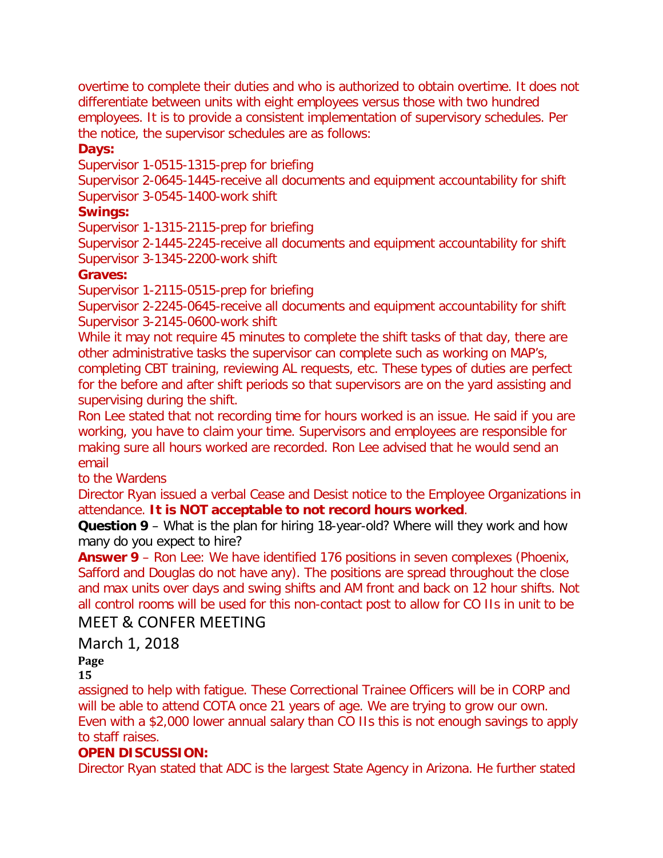overtime to complete their duties and who is authorized to obtain overtime. It does not differentiate between units with eight employees versus those with two hundred employees. It is to provide a consistent implementation of supervisory schedules. Per the notice, the supervisor schedules are as follows:

#### **Days:**

Supervisor 1-0515-1315-prep for briefing

Supervisor 2-0645-1445-receive all documents and equipment accountability for shift Supervisor 3-0545-1400-work shift

#### **Swings:**

Supervisor 1-1315-2115-prep for briefing

Supervisor 2-1445-2245-receive all documents and equipment accountability for shift Supervisor 3-1345-2200-work shift

#### **Graves:**

Supervisor 1-2115-0515-prep for briefing

Supervisor 2-2245-0645-receive all documents and equipment accountability for shift Supervisor 3-2145-0600-work shift

While it may not require 45 minutes to complete the shift tasks of that day, there are other administrative tasks the supervisor can complete such as working on MAP's,

completing CBT training, reviewing AL requests, etc. These types of duties are perfect for the before and after shift periods so that supervisors are on the yard assisting and supervising during the shift.

Ron Lee stated that not recording time for hours worked is an issue. He said if you are working, you have to claim your time. Supervisors and employees are responsible for making sure all hours worked are recorded. Ron Lee advised that he would send an email

to the Wardens

Director Ryan issued a verbal Cease and Desist notice to the Employee Organizations in attendance. **It is NOT acceptable to not record hours worked**.

**Question 9** – What is the plan for hiring 18-year-old? Where will they work and how many do you expect to hire?

**Answer 9** – Ron Lee: We have identified 176 positions in seven complexes (Phoenix, Safford and Douglas do not have any). The positions are spread throughout the close and max units over days and swing shifts and AM front and back on 12 hour shifts. Not all control rooms will be used for this non-contact post to allow for CO IIs in unit to be

# MEET & CONFER MEETING

March 1, 2018

# **Page**

**15**

assigned to help with fatigue. These Correctional Trainee Officers will be in CORP and will be able to attend COTA once 21 years of age. We are trying to grow our own. Even with a \$2,000 lower annual salary than CO IIs this is not enough savings to apply to staff raises.

# **OPEN DISCUSSION:**

Director Ryan stated that ADC is the largest State Agency in Arizona. He further stated